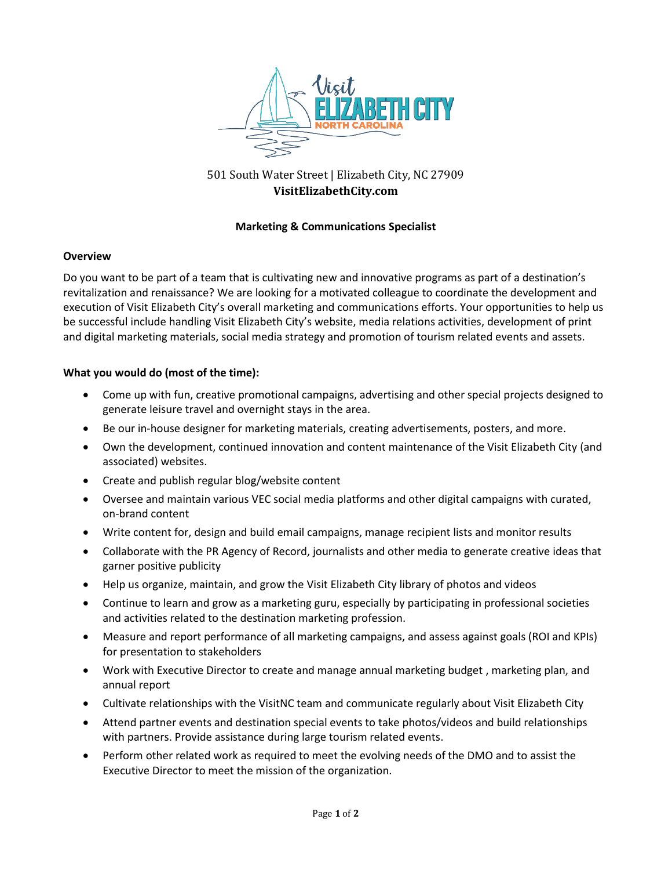

# 501 South Water Street | Elizabeth City, NC 27909 **VisitElizabethCity.com**

## **Marketing & Communications Specialist**

#### **Overview**

Do you want to be part of a team that is cultivating new and innovative programs as part of a destination's revitalization and renaissance? We are looking for a motivated colleague to coordinate the development and execution of Visit Elizabeth City's overall marketing and communications efforts. Your opportunities to help us be successful include handling Visit Elizabeth City's website, media relations activities, development of print and digital marketing materials, social media strategy and promotion of tourism related events and assets.

## **What you would do (most of the time):**

- Come up with fun, creative promotional campaigns, advertising and other special projects designed to generate leisure travel and overnight stays in the area.
- Be our in-house designer for marketing materials, creating advertisements, posters, and more.
- Own the development, continued innovation and content maintenance of the Visit Elizabeth City (and associated) websites.
- Create and publish regular blog/website content
- Oversee and maintain various VEC social media platforms and other digital campaigns with curated, on-brand content
- Write content for, design and build email campaigns, manage recipient lists and monitor results
- Collaborate with the PR Agency of Record, journalists and other media to generate creative ideas that garner positive publicity
- Help us organize, maintain, and grow the Visit Elizabeth City library of photos and videos
- Continue to learn and grow as a marketing guru, especially by participating in professional societies and activities related to the destination marketing profession.
- Measure and report performance of all marketing campaigns, and assess against goals (ROI and KPIs) for presentation to stakeholders
- Work with Executive Director to create and manage annual marketing budget , marketing plan, and annual report
- Cultivate relationships with the VisitNC team and communicate regularly about Visit Elizabeth City
- Attend partner events and destination special events to take photos/videos and build relationships with partners. Provide assistance during large tourism related events.
- Perform other related work as required to meet the evolving needs of the DMO and to assist the Executive Director to meet the mission of the organization.